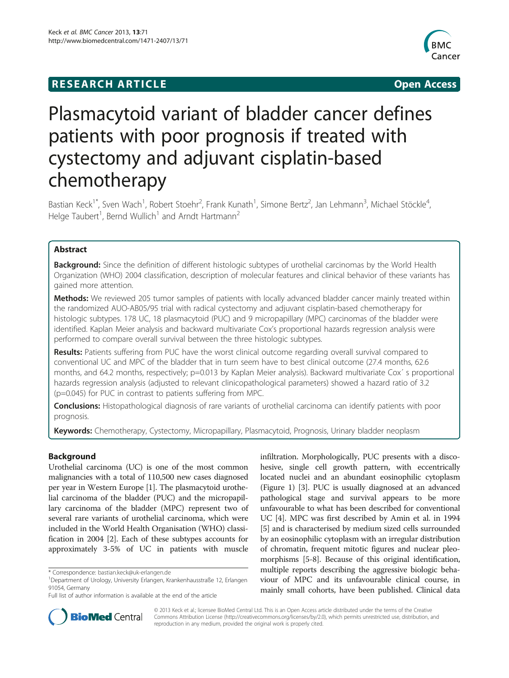## **RESEARCH ARTICLE Example 2018 12:00 Open Access**



# Plasmacytoid variant of bladder cancer defines patients with poor prognosis if treated with cystectomy and adjuvant cisplatin-based chemotherapy

Bastian Keck<sup>1\*</sup>, Sven Wach<sup>1</sup>, Robert Stoehr<sup>2</sup>, Frank Kunath<sup>1</sup>, Simone Bertz<sup>2</sup>, Jan Lehmann<sup>3</sup>, Michael Stöckle<sup>4</sup> , Helge Taubert<sup>1</sup>, Bernd Wullich<sup>1</sup> and Arndt Hartmann<sup>2</sup>

## Abstract

Background: Since the definition of different histologic subtypes of urothelial carcinomas by the World Health Organization (WHO) 2004 classification, description of molecular features and clinical behavior of these variants has gained more attention.

Methods: We reviewed 205 tumor samples of patients with locally advanced bladder cancer mainly treated within the randomized AUO-AB05/95 trial with radical cystectomy and adjuvant cisplatin-based chemotherapy for histologic subtypes. 178 UC, 18 plasmacytoid (PUC) and 9 micropapillary (MPC) carcinomas of the bladder were identified. Kaplan Meier analysis and backward multivariate Cox's proportional hazards regression analysis were performed to compare overall survival between the three histologic subtypes.

Results: Patients suffering from PUC have the worst clinical outcome regarding overall survival compared to conventional UC and MPC of the bladder that in turn seem have to best clinical outcome (27.4 months, 62.6 months, and 64.2 months, respectively; p=0.013 by Kaplan Meier analysis). Backward multivariate Cox´ s proportional hazards regression analysis (adjusted to relevant clinicopathological parameters) showed a hazard ratio of 3.2 (p=0.045) for PUC in contrast to patients suffering from MPC.

Conclusions: Histopathological diagnosis of rare variants of urothelial carcinoma can identify patients with poor prognosis.

Keywords: Chemotherapy, Cystectomy, Micropapillary, Plasmacytoid, Prognosis, Urinary bladder neoplasm

## Background

Urothelial carcinoma (UC) is one of the most common malignancies with a total of 110,500 new cases diagnosed per year in Western Europe [[1\]](#page-6-0). The plasmacytoid urothelial carcinoma of the bladder (PUC) and the micropapillary carcinoma of the bladder (MPC) represent two of several rare variants of urothelial carcinoma, which were included in the World Health Organisation (WHO) classification in 2004 [\[2](#page-6-0)]. Each of these subtypes accounts for approximately 3-5% of UC in patients with muscle

infiltration. Morphologically, PUC presents with a discohesive, single cell growth pattern, with eccentrically located nuclei and an abundant eosinophilic cytoplasm (Figure [1](#page-1-0)) [\[3](#page-6-0)]. PUC is usually diagnosed at an advanced pathological stage and survival appears to be more unfavourable to what has been described for conventional UC [\[4](#page-6-0)]. MPC was first described by Amin et al. in 1994 [[5\]](#page-7-0) and is characterised by medium sized cells surrounded by an eosinophilic cytoplasm with an irregular distribution of chromatin, frequent mitotic figures and nuclear pleomorphisms [[5](#page-7-0)-[8\]](#page-7-0). Because of this original identification, multiple reports describing the aggressive biologic behaviour of MPC and its unfavourable clinical course, in mainly small cohorts, have been published. Clinical data



© 2013 Keck et al.; licensee BioMed Central Ltd. This is an Open Access article distributed under the terms of the Creative Commons Attribution License [\(http://creativecommons.org/licenses/by/2.0\)](http://creativecommons.org/licenses/by/2.0), which permits unrestricted use, distribution, and reproduction in any medium, provided the original work is properly cited.

<sup>\*</sup> Correspondence: [bastian.keck@uk-erlangen.de](mailto:bastian.keck@uk-erlangen.de) <sup>1</sup>

Department of Urology, University Erlangen, Krankenhausstraße 12, Erlangen 91054, Germany

Full list of author information is available at the end of the article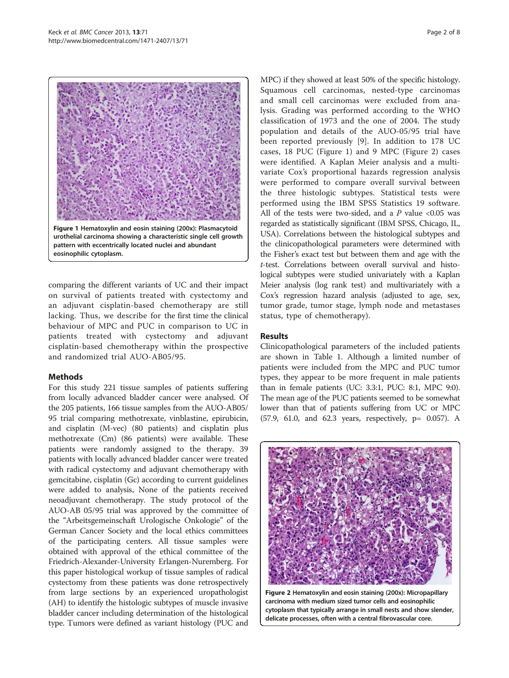<span id="page-1-0"></span>

comparing the different variants of UC and their impact on survival of patients treated with cystectomy and an adjuvant cisplatin-based chemotherapy are still lacking. Thus, we describe for the first time the clinical behaviour of MPC and PUC in comparison to UC in patients treated with cystectomy and adjuvant cisplatin-based chemotherapy within the prospective and randomized trial AUO-AB05/95.

## Methods

For this study 221 tissue samples of patients suffering from locally advanced bladder cancer were analysed. Of the 205 patients, 166 tissue samples from the AUO-AB05/ 95 trial comparing methotrexate, vinblastine, epirubicin, and cisplatin (M-vec) (80 patients) and cisplatin plus methotrexate (Cm) (86 patients) were available. These patients were randomly assigned to the therapy. 39 patients with locally advanced bladder cancer were treated with radical cystectomy and adjuvant chemotherapy with gemcitabine, cisplatin (Gc) according to current guidelines were added to analysis, None of the patients received neoadjuvant chemotherapy. The study protocol of the AUO-AB 05/95 trial was approved by the committee of the "Arbeitsgemeinschaft Urologische Onkologie" of the German Cancer Society and the local ethics committees of the participating centers. All tissue samples were obtained with approval of the ethical committee of the Friedrich-Alexander-University Erlangen-Nuremberg. For this paper histological workup of tissue samples of radical cystectomy from these patients was done retrospectively from large sections by an experienced uropathologist (AH) to identify the histologic subtypes of muscle invasive bladder cancer including determination of the histological type. Tumors were defined as variant histology (PUC and

MPC) if they showed at least 50% of the specific histology. Squamous cell carcinomas, nested-type carcinomas and small cell carcinomas were excluded from analysis. Grading was performed according to the WHO classification of 1973 and the one of 2004. The study population and details of the AUO-05/95 trial have been reported previously [\[9](#page-7-0)]. In addition to 178 UC cases, 18 PUC (Figure 1) and 9 MPC (Figure 2) cases were identified. A Kaplan Meier analysis and a multivariate Cox's proportional hazards regression analysis were performed to compare overall survival between the three histologic subtypes. Statistical tests were performed using the IBM SPSS Statistics 19 software. All of the tests were two-sided, and a  $P$  value <0.05 was regarded as statistically significant (IBM SPSS, Chicago, IL, USA). Correlations between the histological subtypes and the clinicopathological parameters were determined with the Fisher's exact test but between them and age with the t-test. Correlations between overall survival and histological subtypes were studied univariately with a Kaplan Meier analysis (log rank test) and multivariately with a Cox's regression hazard analysis (adjusted to age, sex, tumor grade, tumor stage, lymph node and metastases status, type of chemotherapy).

## Results

Clinicopathological parameters of the included patients are shown in Table [1](#page-2-0). Although a limited number of patients were included from the MPC and PUC tumor types, they appear to be more frequent in male patients than in female patients (UC: 3.3:1, PUC: 8:1, MPC 9:0). The mean age of the PUC patients seemed to be somewhat lower than that of patients suffering from UC or MPC (57.9, 61.0, and 62.3 years, respectively, p= 0.057). A

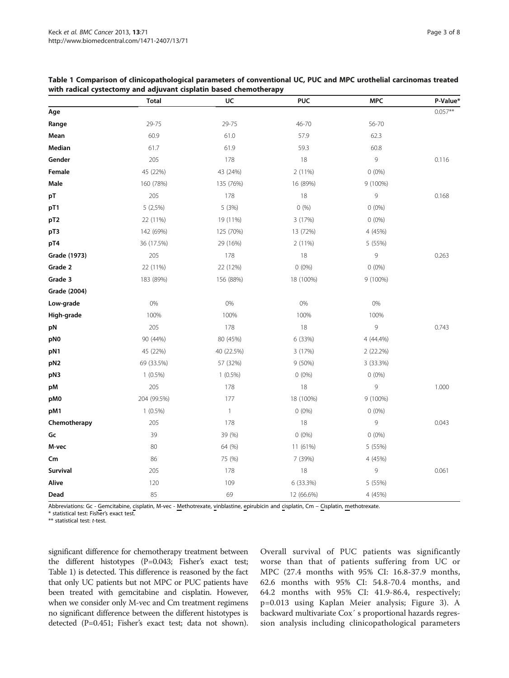|                 | <b>Total</b> | UC           | <b>PUC</b> | <b>MPC</b> | P-Value*  |
|-----------------|--------------|--------------|------------|------------|-----------|
| Age             |              |              |            |            | $0.057**$ |
| Range           | 29-75        | 29-75        | 46-70      | 56-70      |           |
| Mean            | 60.9         | 61.0         | 57.9       | 62.3       |           |
| Median          | 61.7         | 61.9         | 59.3       | 60.8       |           |
| Gender          | 205          | 178          | 18         | 9          | 0.116     |
| Female          | 45 (22%)     | 43 (24%)     | 2 (11%)    | $0(0\%)$   |           |
| Male            | 160 (78%)    | 135 (76%)    | 16 (89%)   | 9 (100%)   |           |
| pT              | 205          | 178          | 18         | 9          | 0.168     |
| pT1             | $5(2,5\%)$   | 5(3%)        | 0(%)       | $0(0\%)$   |           |
| pT <sub>2</sub> | 22 (11%)     | 19 (11%)     | 3 (17%)    | $0(0\%)$   |           |
| pT3             | 142 (69%)    | 125 (70%)    | 13 (72%)   | 4 (45%)    |           |
| pT4             | 36 (17.5%)   | 29 (16%)     | 2 (11%)    | 5 (55%)    |           |
| Grade (1973)    | 205          | 178          | 18         | 9          | 0.263     |
| Grade 2         | 22 (11%)     | 22 (12%)     | $0(0\%)$   | $0(0\%)$   |           |
| Grade 3         | 183 (89%)    | 156 (88%)    | 18 (100%)  | 9 (100%)   |           |
| Grade (2004)    |              |              |            |            |           |
| Low-grade       | 0%           | 0%           | 0%         | 0%         |           |
| High-grade      | 100%         | 100%         | 100%       | 100%       |           |
| pN              | 205          | 178          | 18         | 9          | 0.743     |
| pN0             | 90 (44%)     | 80 (45%)     | 6 (33%)    | 4 (44.4%)  |           |
| pN1             | 45 (22%)     | 40 (22.5%)   | 3 (17%)    | 2(22.2%)   |           |
| pN <sub>2</sub> | 69 (33.5%)   | 57 (32%)     | 9 (50%)    | 3 (33.3%)  |           |
| pN3             | $1(0.5\%)$   | $1(0.5\%)$   | $0(0\%)$   | $0(0\%)$   |           |
| pM              | 205          | 178          | 18         | 9          | 1.000     |
| pM0             | 204 (99.5%)  | 177          | 18 (100%)  | 9 (100%)   |           |
| pM1             | $1(0.5\%)$   | $\mathbf{1}$ | $0(0\%)$   | $0(0\%)$   |           |
| Chemotherapy    | 205          | 178          | 18         | 9          | 0.043     |
| Gc              | 39           | 39 (%)       | $0(0\%)$   | $0(0\%)$   |           |
| M-vec           | 80           | 64 (%)       | 11 (61%)   | 5 (55%)    |           |
| $\mathsf{Cm}$   | 86           | 75 (%)       | 7 (39%)    | 4 (45%)    |           |
| Survival        | 205          | 178          | 18         | 9          | 0.061     |
| Alive           | 120          | 109          | 6 (33.3%)  | 5 (55%)    |           |
| Dead            | 85           | 69           | 12 (66.6%) | 4 (45%)    |           |

<span id="page-2-0"></span>Table 1 Comparison of clinicopathological parameters of conventional UC, PUC and MPC urothelial carcinomas treated with radical cystectomy and adjuvant cisplatin based chemotherapy

Abbreviations: Gc - Gemcitabine, cisplatin, M-vec - Methotrexate, vinblastine, epirubicin and cisplatin, Cm – Cisplatin, methotrexate.

\* statistical test: Fisher's exact test.

\*\* statistical test: t-test.

significant difference for chemotherapy treatment between the different histotypes (P=0.043; Fisher's exact test; Table 1) is detected. This difference is reasoned by the fact that only UC patients but not MPC or PUC patients have been treated with gemcitabine and cisplatin. However, when we consider only M-vec and Cm treatment regimens no significant difference between the different histotypes is detected (P=0.451; Fisher's exact test; data not shown).

Overall survival of PUC patients was significantly worse than that of patients suffering from UC or MPC (27.4 months with 95% CI: 16.8-37.9 months, 62.6 months with 95% CI: 54.8-70.4 months, and 64.2 months with 95% CI: 41.9-86.4, respectively; p=0.013 using Kaplan Meier analysis; Figure [3\)](#page-3-0). A backward multivariate Cox´ s proportional hazards regression analysis including clinicopathological parameters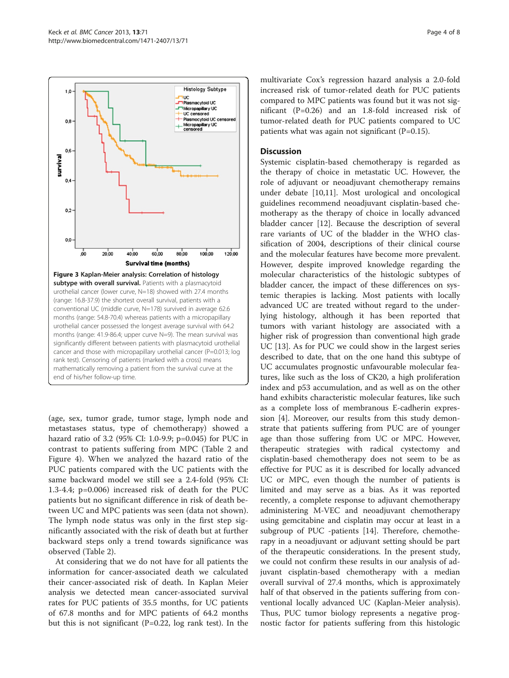<span id="page-3-0"></span>

(age, sex, tumor grade, tumor stage, lymph node and metastases status, type of chemotherapy) showed a hazard ratio of 3.2 (95% CI: 1.0-9.9; p=0.045) for PUC in contrast to patients suffering from MPC (Table [2](#page-4-0) and Figure [4\)](#page-5-0). When we analyzed the hazard ratio of the PUC patients compared with the UC patients with the same backward model we still see a 2.4-fold (95% CI: 1.3-4.4; p=0.006) increased risk of death for the PUC patients but no significant difference in risk of death between UC and MPC patients was seen (data not shown). The lymph node status was only in the first step significantly associated with the risk of death but at further backward steps only a trend towards significance was observed (Table [2](#page-4-0)).

At considering that we do not have for all patients the information for cancer-associated death we calculated their cancer-associated risk of death. In Kaplan Meier analysis we detected mean cancer-associated survival rates for PUC patients of 35.5 months, for UC patients of 67.8 months and for MPC patients of 64.2 months but this is not significant (P=0.22, log rank test). In the

multivariate Cox's regression hazard analysis a 2.0-fold increased risk of tumor-related death for PUC patients compared to MPC patients was found but it was not significant (P=0.26) and an 1.8-fold increased risk of tumor-related death for PUC patients compared to UC patients what was again not significant  $(P=0.15)$ .

## **Discussion**

Systemic cisplatin-based chemotherapy is regarded as the therapy of choice in metastatic UC. However, the role of adjuvant or neoadjuvant chemotherapy remains under debate [[10](#page-7-0),[11](#page-7-0)]. Most urological and oncological guidelines recommend neoadjuvant cisplatin-based chemotherapy as the therapy of choice in locally advanced bladder cancer [\[12\]](#page-7-0). Because the description of several rare variants of UC of the bladder in the WHO classification of 2004, descriptions of their clinical course and the molecular features have become more prevalent. However, despite improved knowledge regarding the molecular characteristics of the histologic subtypes of bladder cancer, the impact of these differences on systemic therapies is lacking. Most patients with locally advanced UC are treated without regard to the underlying histology, although it has been reported that tumors with variant histology are associated with a higher risk of progression than conventional high grade UC [[13\]](#page-7-0). As for PUC we could show in the largest series described to date, that on the one hand this subtype of UC accumulates prognostic unfavourable molecular features, like such as the loss of CK20, a high proliferation index and p53 accumulation, and as well as on the other hand exhibits characteristic molecular features, like such as a complete loss of membranous E-cadherin expression [[4\]](#page-6-0). Moreover, our results from this study demonstrate that patients suffering from PUC are of younger age than those suffering from UC or MPC. However, therapeutic strategies with radical cystectomy and cisplatin-based chemotherapy does not seem to be as effective for PUC as it is described for locally advanced UC or MPC, even though the number of patients is limited and may serve as a bias. As it was reported recently, a complete response to adjuvant chemotherapy administering M-VEC and neoadjuvant chemotherapy using gemcitabine and cisplatin may occur at least in a subgroup of PUC -patients [[14\]](#page-7-0). Therefore, chemotherapy in a neoadjuvant or adjuvant setting should be part of the therapeutic considerations. In the present study, we could not confirm these results in our analysis of adjuvant cisplatin-based chemotherapy with a median overall survival of 27.4 months, which is approximately half of that observed in the patients suffering from conventional locally advanced UC (Kaplan-Meier analysis). Thus, PUC tumor biology represents a negative prognostic factor for patients suffering from this histologic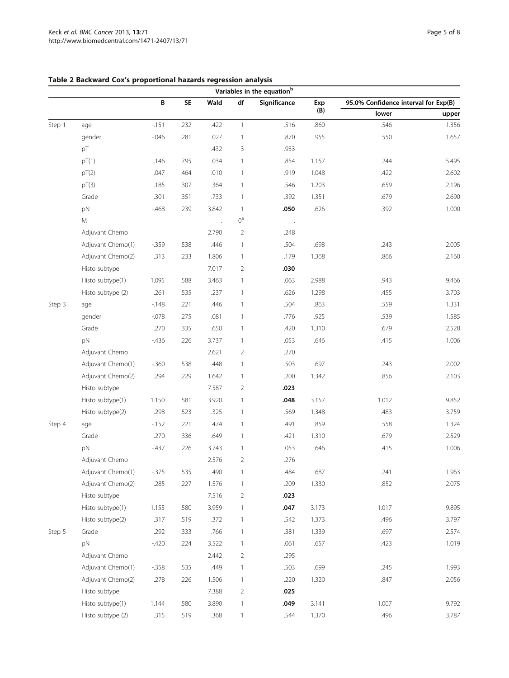|        |                   |          |      |                      |                | Variables in the equation <sup>b</sup> |       |                                      |       |
|--------|-------------------|----------|------|----------------------|----------------|----------------------------------------|-------|--------------------------------------|-------|
|        |                   | В        | SE   | Wald                 | df             | Significance                           | Exp   | 95.0% Confidence interval for Exp(B) |       |
|        |                   |          |      |                      |                |                                        | (B)   | lower                                | upper |
| Step 1 | age               | $-151$   | .232 | .422                 | $\mathbf{1}$   | .516                                   | .860  | .546                                 | 1.356 |
|        | gender            | $-0.046$ | .281 | .027                 | $\mathbf{1}$   | .870                                   | .955  | .550                                 | 1.657 |
|        | pT                |          |      | .432                 | 3              | .933                                   |       |                                      |       |
|        | pT(1)             | .146     | .795 | .034                 | $\mathbf{1}$   | .854                                   | 1.157 | .244                                 | 5.495 |
|        | pT(2)             | .047     | .464 | .010                 | $\mathbf{1}$   | .919                                   | 1.048 | .422                                 | 2.602 |
|        | pT(3)             | .185     | .307 | .364                 | $\mathbf{1}$   | .546                                   | 1.203 | .659                                 | 2.196 |
|        | Grade             | .301     | .351 | .733                 | $\mathbf{1}$   | .392                                   | 1.351 | .679                                 | 2.690 |
|        | pN                | $-468$   | .239 | 3.842                | $\mathbf{1}$   | .050                                   | .626  | .392                                 | 1.000 |
|        | M                 |          |      | $\ddot{\phantom{a}}$ | $0^{\rm a}$    | $\cdot$                                |       |                                      |       |
|        | Adjuvant Chemo    |          |      | 2.790                | $\overline{2}$ | .248                                   |       |                                      |       |
|        | Adjuvant Chemo(1) | $-359$   | .538 | .446                 | $\mathbf{1}$   | .504                                   | .698  | .243                                 | 2.005 |
|        | Adjuvant Chemo(2) | .313     | .233 | 1.806                | $\mathbf{1}$   | .179                                   | 1.368 | .866                                 | 2.160 |
|        | Histo subtype     |          |      | 7.017                | $\overline{2}$ | .030                                   |       |                                      |       |
|        | Histo subtype(1)  | 1.095    | .588 | 3.463                | $\mathbf{1}$   | .063                                   | 2.988 | .943                                 | 9.466 |
|        | Histo subtype (2) | .261     | .535 | .237                 | $\mathbf{1}$   | .626                                   | 1.298 | .455                                 | 3.703 |
| Step 3 | age               | $-148$   | .221 | .446                 | $\mathbf{1}$   | .504                                   | .863  | .559                                 | 1.331 |
|        | gender            | $-0.078$ | .275 | .081                 | $\mathbf{1}$   | .776                                   | .925  | .539                                 | 1.585 |
|        | Grade             | .270     | .335 | .650                 | $\mathbf{1}$   | .420                                   | 1.310 | .679                                 | 2.528 |
|        | pN                | $-436$   | .226 | 3.737                | 1              | .053                                   | .646  | .415                                 | 1.006 |
|        | Adjuvant Chemo    |          |      | 2.621                | $\overline{2}$ | .270                                   |       |                                      |       |
|        | Adjuvant Chemo(1) | $-0.360$ | .538 | .448                 | $\mathbf{1}$   | .503                                   | .697  | .243                                 | 2.002 |
|        | Adjuvant Chemo(2) | .294     | .229 | 1.642                | $\mathbf{1}$   | .200                                   | 1.342 | .856                                 | 2.103 |
|        | Histo subtype     |          |      | 7.587                | $\overline{2}$ | .023                                   |       |                                      |       |
|        | Histo subtype(1)  | 1.150    | .581 | 3.920                | $\mathbf{1}$   | .048                                   | 3.157 | 1.012                                | 9.852 |
|        | Histo subtype(2)  | .298     | .523 | .325                 | $\mathbf{1}$   | .569                                   | 1.348 | .483                                 | 3.759 |
| Step 4 | age               | $-152$   | .221 | .474                 | $\mathbf{1}$   | .491                                   | .859  | .558                                 | 1.324 |
|        | Grade             | .270     | .336 | .649                 | $\mathbf{1}$   | .421                                   | 1.310 | .679                                 | 2.529 |
|        | pN                | $-437$   | .226 | 3.743                | $\mathbf{1}$   | .053                                   | .646  | .415                                 | 1.006 |
|        | Adjuvant Chemo    |          |      | 2.576                | $\overline{2}$ | .276                                   |       |                                      |       |
|        | Adjuvant Chemo(1) | $-375$   | .535 | .490                 |                | .484                                   | .687  | .241                                 | 1.963 |
|        | Adjuvant Chemo(2) | .285     | .227 | 1.576                | $\mathbf{1}$   | .209                                   | 1.330 | .852                                 | 2.075 |
|        | Histo subtype     |          |      | 7.516                | $\overline{2}$ | .023                                   |       |                                      |       |
|        | Histo subtype(1)  | 1.155    | .580 | 3.959                | $\mathbf{1}$   | .047                                   | 3.173 | 1.017                                | 9.895 |
|        | Histo subtype(2)  | .317     | .519 | .372                 | $\mathbf{1}$   | .542                                   | 1.373 | .496                                 | 3.797 |
| Step 5 | Grade             | .292     | .333 | .766                 | $\mathbf{1}$   | .381                                   | 1.339 | .697                                 | 2.574 |
|        | pN                | $-420$   | .224 | 3.522                | $\mathbf{1}$   | .061                                   | .657  | .423                                 | 1.019 |
|        | Adjuvant Chemo    |          |      | 2.442                | $\overline{2}$ | .295                                   |       |                                      |       |
|        | Adjuvant Chemo(1) | $-358$   | .535 | .449                 | $\mathbf{1}$   | .503                                   | .699  | .245                                 | 1.993 |
|        | Adjuvant Chemo(2) | .278     | .226 | 1.506                | $\mathbf{1}$   | .220                                   | 1.320 | .847                                 | 2.056 |
|        | Histo subtype     |          |      | 7.388                | $\overline{2}$ | .025                                   |       |                                      |       |
|        | Histo subtype(1)  | 1.144    | .580 | 3.890                | 1              | .049                                   | 3.141 | 1.007                                | 9.792 |

Histo subtype (2)  $.315$   $.519$   $.368$  1  $.544$   $.1370$   $.496$   $.3787$ 

## <span id="page-4-0"></span>Table 2 Backward Cox's proportional hazards regression analysis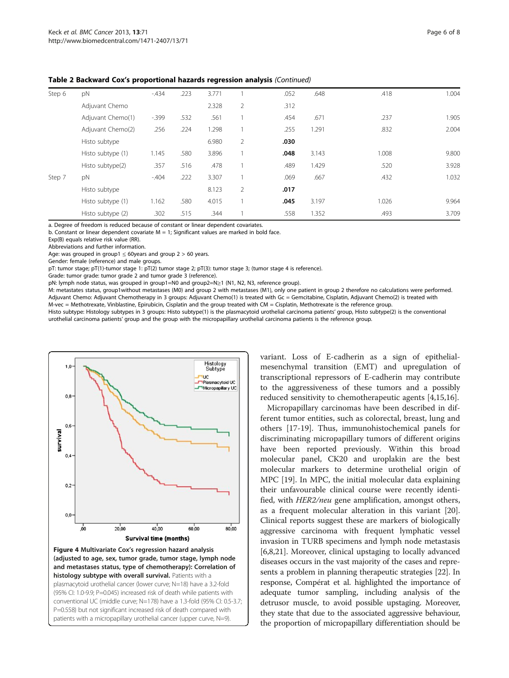| Step 6 | pN                | $-434$ | .223 | 3.771 |                | .052 | .648  | .418  | 1.004 |
|--------|-------------------|--------|------|-------|----------------|------|-------|-------|-------|
|        | Adjuvant Chemo    |        |      | 2.328 | 2              | .312 |       |       |       |
|        | Adjuvant Chemo(1) | $-399$ | .532 | .561  |                | .454 | .671  | .237  | 1.905 |
|        | Adjuvant Chemo(2) | .256   | .224 | 1.298 |                | .255 | 1.291 | .832  | 2.004 |
|        | Histo subtype     |        |      | 6.980 | $\overline{2}$ | .030 |       |       |       |
|        | Histo subtype (1) | 1.145  | .580 | 3.896 |                | .048 | 3.143 | 1.008 | 9.800 |
|        | Histo subtype(2)  | .357   | .516 | .478  |                | .489 | 1.429 | .520  | 3.928 |
| Step 7 | pN                | $-404$ | .222 | 3.307 |                | .069 | .667  | .432  | 1.032 |
|        | Histo subtype     |        |      | 8.123 | 2              | .017 |       |       |       |
|        | Histo subtype (1) | 1.162  | .580 | 4.015 |                | .045 | 3.197 | 1.026 | 9.964 |
|        | Histo subtype (2) | .302   | .515 | .344  |                | .558 | 1.352 | .493  | 3.709 |

<span id="page-5-0"></span>Table 2 Backward Cox's proportional hazards regression analysis (Continued)

a. Degree of freedom is reduced because of constant or linear dependent covariates.

b. Constant or linear dependent covariate  $M = 1$ ; Significant values are marked in bold face.

Exp(B) equals relative risk value (RR).

Abbreviations and further information.

Age: was grouped in group1  $\leq$  60years and group 2 > 60 years.

Gender: female (reference) and male groups.

pT: tumor stage; pT(1)-tumor stage 1: pT(2) tumor stage 2; pT(3): tumor stage 3; (tumor stage 4 is reference).

Grade: tumor grade: tumor grade 2 and tumor grade 3 (reference).

pN: lymph node status, was grouped in group1=N0 and group2=N≥1 (N1, N2, N3, reference group).

M: metastates status, group1without metastases (M0) and group 2 with metastases (M1), only one patient in group 2 therefore no calculations were performed. Adjuvant Chemo: Adjuvant Chemotherapy in 3 groups: Adjuvant Chemo(1) is treated with Gc = Gemcitabine, Cisplatin, Adjuvant Chemo(2) is treated with M-vec = Methotrexate, Vinblastine, Epirubicin, Cisplatin and the group treated with CM = Cisplatin, Methotrexate is the reference group.

Histo subtype: Histology subtypes in 3 groups: Histo subtype(1) is the plasmacytoid urothelial carcinoma patients' group, Histo subtype(2) is the conventional urothelial carcinoma patients' group and the group with the micropapillary urothelial carcinoma patients is the reference group.



Figure 4 Multivariate Cox's regression hazard analysis (adjusted to age, sex, tumor grade, tumor stage, lymph node and metastases status, type of chemotherapy): Correlation of histology subtype with overall survival. Patients with a plasmacytoid urothelial cancer (lower curve; N=18) have a 3.2-fold (95% CI: 1.0-9.9; P=0.045) increased risk of death while patients with conventional UC (middle curve; N=178) have a 1.3-fold (95% CI: 0.5-3.7; P=0.558) but not significant increased risk of death compared with patients with a micropapillary urothelial cancer (upper curve, N=9).

variant. Loss of E-cadherin as a sign of epithelialmesenchymal transition (EMT) and upregulation of transcriptional repressors of E-cadherin may contribute to the aggressiveness of these tumors and a possibly reduced sensitivity to chemotherapeutic agents [\[4](#page-6-0)[,15,16\]](#page-7-0).

Micropapillary carcinomas have been described in different tumor entities, such as colorectal, breast, lung and others [\[17](#page-7-0)-[19\]](#page-7-0). Thus, immunohistochemical panels for discriminating micropapillary tumors of different origins have been reported previously. Within this broad molecular panel, CK20 and uroplakin are the best molecular markers to determine urothelial origin of MPC [[19](#page-7-0)]. In MPC, the initial molecular data explaining their unfavourable clinical course were recently identified, with HER2/neu gene amplification, amongst others, as a frequent molecular alteration in this variant [\[20](#page-7-0)]. Clinical reports suggest these are markers of biologically aggressive carcinoma with frequent lymphatic vessel invasion in TURB specimens and lymph node metastasis [[6,8,21\]](#page-7-0). Moreover, clinical upstaging to locally advanced diseases occurs in the vast majority of the cases and represents a problem in planning therapeutic strategies [\[22\]](#page-7-0). In response, Compérat et al. highlighted the importance of adequate tumor sampling, including analysis of the detrusor muscle, to avoid possible upstaging. Moreover, they state that due to the associated aggressive behaviour, the proportion of micropapillary differentiation should be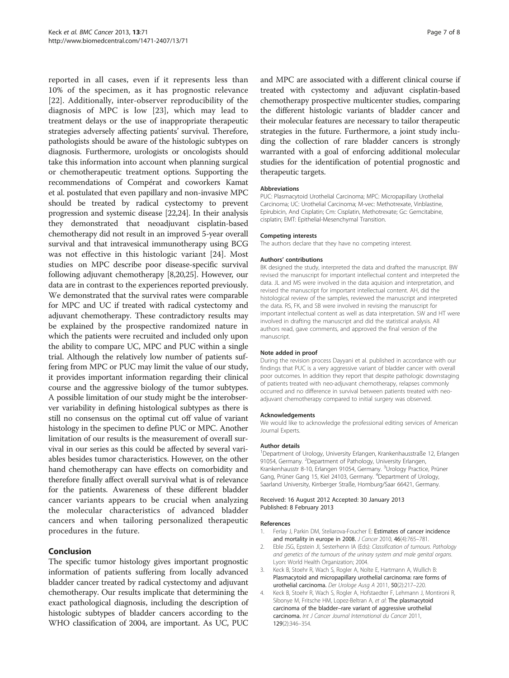<span id="page-6-0"></span>reported in all cases, even if it represents less than 10% of the specimen, as it has prognostic relevance [[22\]](#page-7-0). Additionally, inter-observer reproducibility of the diagnosis of MPC is low [[23\]](#page-7-0), which may lead to treatment delays or the use of inappropriate therapeutic strategies adversely affecting patients' survival. Therefore, pathologists should be aware of the histologic subtypes on diagnosis. Furthermore, urologists or oncologists should take this information into account when planning surgical or chemotherapeutic treatment options. Supporting the recommendations of Compérat and coworkers Kamat et al. postulated that even papillary and non-invasive MPC should be treated by radical cystectomy to prevent progression and systemic disease [\[22,24\]](#page-7-0). In their analysis they demonstrated that neoadjuvant cisplatin-based chemotherapy did not result in an improved 5-year overall survival and that intravesical immunotherapy using BCG was not effective in this histologic variant [[24\]](#page-7-0). Most studies on MPC describe poor disease-specific survival following adjuvant chemotherapy [[8](#page-7-0),[20,25\]](#page-7-0). However, our data are in contrast to the experiences reported previously. We demonstrated that the survival rates were comparable for MPC and UC if treated with radical cystectomy and adjuvant chemotherapy. These contradictory results may be explained by the prospective randomized nature in which the patients were recruited and included only upon the ability to compare UC, MPC and PUC within a single trial. Although the relatively low number of patients suffering from MPC or PUC may limit the value of our study, it provides important information regarding their clinical course and the aggressive biology of the tumor subtypes. A possible limitation of our study might be the interobserver variability in defining histological subtypes as there is still no consensus on the optimal cut off value of variant histology in the specimen to define PUC or MPC. Another limitation of our results is the measurement of overall survival in our series as this could be affected by several variables besides tumor characteristics. However, on the other hand chemotherapy can have effects on comorbidity and therefore finally affect overall survival what is of relevance for the patients. Awareness of these different bladder cancer variants appears to be crucial when analyzing the molecular characteristics of advanced bladder cancers and when tailoring personalized therapeutic procedures in the future.

## Conclusion

The specific tumor histology gives important prognostic information of patients suffering from locally advanced bladder cancer treated by radical cystectomy and adjuvant chemotherapy. Our results implicate that determining the exact pathological diagnosis, including the description of histologic subtypes of bladder cancers according to the WHO classification of 2004, are important. As UC, PUC and MPC are associated with a different clinical course if treated with cystectomy and adjuvant cisplatin-based chemotherapy prospective multicenter studies, comparing the different histologic variants of bladder cancer and their molecular features are necessary to tailor therapeutic strategies in the future. Furthermore, a joint study including the collection of rare bladder cancers is strongly warranted with a goal of enforcing additional molecular studies for the identification of potential prognostic and therapeutic targets.

#### Abbreviations

PUC: Plasmacytoid Urothelial Carcinoma; MPC: Micropapillary Urothelial Carcinoma; UC: Urothelial Carcinoma; M-vec: Methotrexate, Vinblastine, Epirubicin, And Cisplatin; Cm: Cisplatin, Methotrexate; Gc: Gemcitabine, cisplatin; EMT: Epithelial-Mesenchymal Transition.

#### Competing interests

The authors declare that they have no competing interest.

#### Authors' contributions

BK designed the study, interpreted the data and drafted the manuscript. BW revised the manuscript for important intellectual content and interpreted the data. JL and MS were involved in the data aquision and interpretation, and revised the manuscript for important intellectual content. AH, did the histological review of the samples, reviewed the manuscript and interpreted the data. RS, FK, and SB were involved in revising the manuscript for important intellectual content as well as data interpretation. SW and HT were involved in drafting the manuscript and did the statistical analysis. All authors read, gave comments, and approved the final version of the manuscript.

#### Note added in proof

During the revision process Dayyani et al. published in accordance with our findings that PUC is a very aggressive variant of bladder cancer with overall poor outcomes. In addition they report that despite pathologic downstaging of patients treated with neo-adjuvant chemotherapy, relapses commonly occurred and no difference in survival between patients treated with neoadjuvant chemotherapy compared to initial surgery was observed.

#### Acknowledgements

We would like to acknowledge the professional editing services of American Journal Experts.

#### Author details

<sup>1</sup>Department of Urology, University Erlangen, Krankenhausstraße 12, Erlangen 91054, Germany. <sup>2</sup>Department of Pathology, University Erlangen, Krankenhausstr 8-10, Erlangen 91054, Germany. <sup>3</sup>Urology Practice, Prüner Gang, Prüner Gang 15, Kiel 24103, Germany. <sup>4</sup>Department of Urology, Saarland University, Kirrberger Straße, Homburg/Saar 66421, Germany.

#### Received: 16 August 2012 Accepted: 30 January 2013 Published: 8 February 2013

#### References

- 1. Ferlay J, Parkin DM, Steliarova-Foucher E: Estimates of cancer incidence and mortality in europe in 2008. J Cancer 2010, 46(4):765-781.
- 2. Eble JSG, Epstein JI, Sesterhenn IA (Eds): Classification of tumours. Pathology and genetics of the tumours of the urinary system and male genital organs. Lyon: World Health Organization; 2004.
- 3. Keck B, Stoehr R, Wach S, Rogler A, Nolte E, Hartmann A, Wullich B: Plasmacytoid and micropapillary urothelial carcinoma: rare forms of urothelial carcinoma. Der Urologe Ausg A 2011, 50(2):217–220.
- 4. Keck B, Stoehr R, Wach S, Rogler A, Hofstaedter F, Lehmann J, Montironi R, Sibonye M, Fritsche HM, Lopez-Beltran A, et al: The plasmacytoid carcinoma of the bladder–rare variant of aggressive urothelial carcinoma. Int J Cancer Journal International du Cancer 2011, 129(2):346–354.